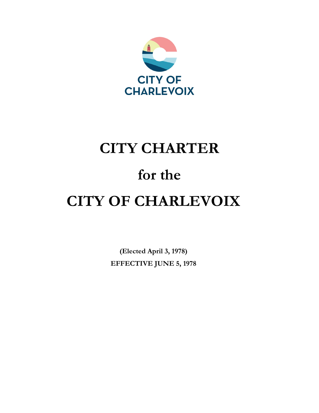

# **CITY CHARTER for the CITY OF CHARLEVOIX**

**(Elected April 3, 1978) EFFECTIVE JUNE 5, 1978**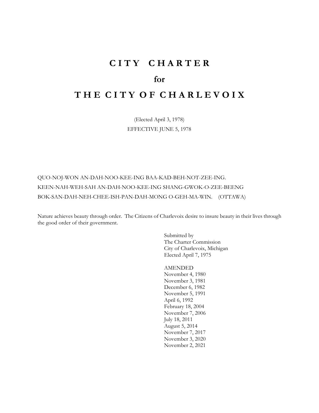# **C I T Y C H A R T E R**

# **for**

# **T H E C I T Y O F C H A R L E V O I X**

(Elected April 3, 1978) EFFECTIVE JUNE 5, 1978

QUO-NOJ-WON AN-DAH-NOO-KEE-ING BAA-KAD-BEH-NOT-ZEE-ING. KEEN-NAH-WEH-SAH AN-DAH-NOO-KEE-ING SHANG-GWOK-O-ZEE-BEENG BOK-SAN-DAH-NEH-CHEE-ISH-PAN-DAH-MONG O-GEH-MA-WIN. (OTTAWA)

Nature achieves beauty through order. The Citizens of Charlevoix desire to insure beauty in their lives through the good order of their government.

> Submitted by The Charter Commission City of Charlevoix, Michigan Elected April 7, 1975

AMENDED November 4, 1980 November 3, 1981 December 6, 1982 November 5, 1991 April 6, 1992 February 18, 2004 November 7, 2006 July 18, 2011 August 5, 2014 November 7, 2017 November 3, 2020 November 2, 2021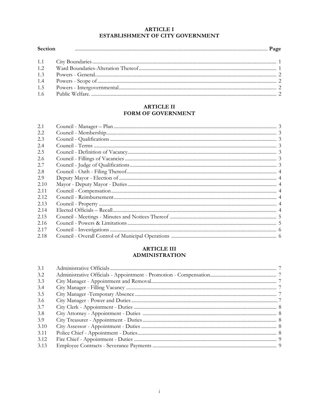#### **ARTICLE I** ESTABLISHMENT OF CITY GOVERNMENT

| Section |  |
|---------|--|
|         |  |
|         |  |
|         |  |
|         |  |
|         |  |
|         |  |

#### **ARTICLE II** FORM OF GOVERNMENT

| 2.1  |  |
|------|--|
|      |  |
| 2.2  |  |
| 2.3  |  |
| 2.4  |  |
| 2.5  |  |
| 2.6  |  |
| 2.7  |  |
| 2.8  |  |
| 2.9  |  |
| 2.10 |  |
| 2.11 |  |
| 2.12 |  |
| 2.13 |  |
| 2.14 |  |
| 2.15 |  |
| 2.16 |  |
| 2.17 |  |
| 2.18 |  |

#### **ARTICLE III ADMINISTRATION**

| 3.1  |  |
|------|--|
| 3.2  |  |
| 3.3  |  |
| 3.4  |  |
| 3.5  |  |
| 3.6  |  |
| 3.7  |  |
| 3.8  |  |
| 3.9  |  |
| 3.10 |  |
| 3.11 |  |
| 3.12 |  |
| 3.13 |  |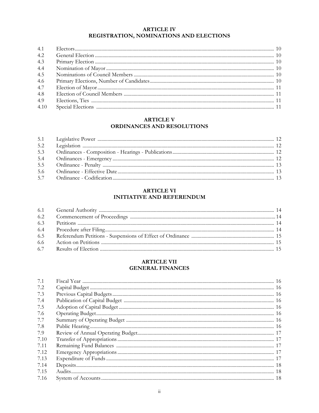#### **ARTICLE IV** REGISTRATION, NOMINATIONS AND ELECTIONS

| 4.2  |  |
|------|--|
| 4.3  |  |
| 4.4  |  |
| 4.5  |  |
| 4.6  |  |
| 4.7  |  |
| 4.8  |  |
| 4.9  |  |
| 4.10 |  |

#### **ARTICLE V** ORDINANCES AND RESOLUTIONS

| 5.3 |  |
|-----|--|
| 5.4 |  |
|     |  |
| 5.6 |  |
|     |  |

#### **ARTICLE VI INITIATIVE AND REFERENDUM**

| 6.4 |  |
|-----|--|
|     |  |
|     |  |
|     |  |

#### **ARTICLE VII GENERAL FINANCES**

| 7.1  |  |
|------|--|
| 7.2  |  |
| 7.3  |  |
| 7.4  |  |
| 7.5  |  |
| 7.6  |  |
| 7.7  |  |
| 7.8  |  |
| 7.9  |  |
| 7.10 |  |
| 7.11 |  |
| 7.12 |  |
| 7.13 |  |
| 7.14 |  |
| 7.15 |  |
| 7.16 |  |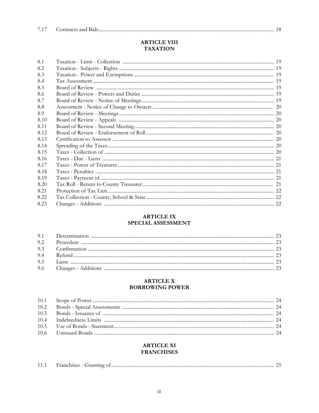#### **ARTICLE VIII TAXATION**

| 8.1  |  |
|------|--|
| 8.2  |  |
| 8.3  |  |
| 8.4  |  |
| 8.5  |  |
| 8.6  |  |
| 8.7  |  |
| 8.8  |  |
| 8.9  |  |
| 8.10 |  |
| 8.11 |  |
| 8.12 |  |
| 8.13 |  |
| 8.14 |  |
| 8.15 |  |
| 8.16 |  |
| 8.17 |  |
| 8.18 |  |
| 8.19 |  |
| 8.20 |  |
| 8.21 |  |
| 8.22 |  |
| 8.23 |  |
|      |  |

#### **ARTICLE IX** SPECIAL ASSESSMENT

#### **ARTICLE X BORROWING POWER**

#### **ARTICLE XI FRANCHISES**

| 11.1<br>$\cdots$ Pranchises - Granting $\cdots$<br>_______ | the control of the control of |
|------------------------------------------------------------|-------------------------------|
|------------------------------------------------------------|-------------------------------|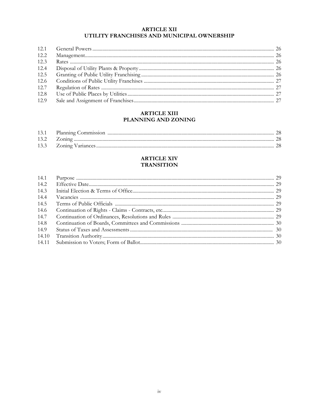#### **ARTICLE XII** UTILITY FRANCHISES AND MUNICIPAL OWNERSHIP

| 12.2 |  |
|------|--|
| 12.3 |  |
| 12.4 |  |
| 12.5 |  |
|      |  |
| 12.7 |  |
| 12.8 |  |
| 12.9 |  |

## **ARTICLE XIII** PLANNING AND ZONING

#### **ARTICLE XIV TRANSITION**

| 14.1  |  |
|-------|--|
| 14.2  |  |
| 14.3  |  |
| 14.4  |  |
| 14.5  |  |
| 14.6  |  |
| 14.7  |  |
| 14.8  |  |
| 14.9  |  |
| 14.10 |  |
|       |  |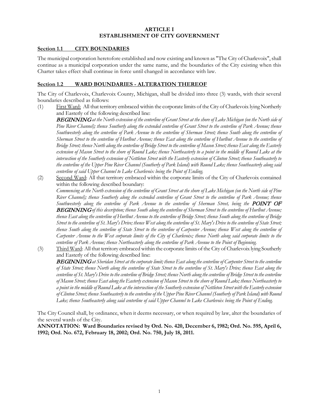#### **ARTICLE I ESTABLISHMENT OF CITY GOVERNMENT**

#### **Section 1.1 CITY BOUNDARIES**

The municipal corporation heretofore established and now existing and known as "The City of Charlevoix", shall continue as a municipal corporation under the same name, and the boundaries of the City existing when this Charter takes effect shall continue in force until changed in accordance with law.

#### **Section 1.2 WARD BOUNDARIES - ALTERATION THEREOF**

The City of Charlevoix, Charlevoix County, Michigan, shall be divided into three (3) wards, with their several boundaries described as follows:

(1) First Ward: All that territory embraced within the corporate limits of the City of Charlevoix lying Northerly and Easterly of the following described line:

BEGINNING*at the North extension of the centerline of Grant Street at the shore of Lake Michigan (on the North side of Pine River Channel); thence Southerly along the extended centerline of Grant Street to the centerline of Park Avenue; thence Southwesterly along the centerline of Park Avenue to the centerline of Sherman Street; thence South along the centerline of Sherman Street to the centerline of Hurlbut Avenue; thence East along the centerline of Hurlbut Avenue to the centerline of Bridge Street; thence North along the centerline of Bridge Street to the centerline of Mason Street; thence East along the Easterly extension of Mason Street to the shore of Round Lake; thence Northeasterly to a point in the middle of Round Lake at the intersection of the Southerly extension of Nettleton Street with the Easterly extension of Clinton Street; thence Southeasterly to the centerline of the Upper Pine River Channel (Southerly of Park Island) with Round Lake; thence Southeasterly along said centerline of said Upper Channel to Lake Charlevoix being the Point of Ending.*

(2) Second Ward: All that territory embraced within the corporate limits of the City of Charlevoix contained within the following described boundary:

*Commencing at the North extension of the centerline of Grant Street at the shore of Lake Michigan (on the North side of Pine River Channel); thence Southerly along the extended centerline of Grant Street to the centerline of Park Avenue; thence*  Southwesterly along the centerline of Park Avenue to the centerline of Sherman Street, being the **POINT OF** BEGINNING*of this description; thence South along the centerline of Sherman Street to the centerline of Hurlbut Avenue; thence East along the centerline of Hurlbut Avenue to the centerline of Bridge Street; thence South along the centerline of Bridge Street to the centerline of St. Mary's Drive; thence West along the centerline of St. Mary's Drive to the centerline of State Street; thence South along the centerline of State Street to the centerline of Carpenter Avenue; thence West along the centerline of Carpenter Avenue to the West corporate limits of the City of Charlevoix; thence North along said corporate limits to the centerline of Park Avenue; thence Northeasterly along the centerline of Park Avenue to the Point of Beginning.*

(3) Third Ward: All that territory embraced within the corporate limits of the City of Charlevoix lying Southerly and Easterly of the following described line:

BEGINNING*at Sheridan Street at the corporate limit; thence East along the centerline of Carpenter Street to the centerline of State Street; thence North along the centerline of State Street to the centerline of St. Mary's Drive; thence East along the centerline of St. Mary's Drive to the centerline of Bridge Street; thence North along the centerline of Bridge Street to the centerline of Mason Street; thence East along the Easterly extension of Mason Street to the shore of Round Lake; thence Northeasterly to a point in the middle of Round Lake at the intersection of the Southerly extension of Nettleton Street with the Easterly extension of Clinton Street; thence Southeasterly to the centerline of the Upper Pine River Channel (Southerly of Park Island) with Round Lake; thence Southeasterly along said centerline of said Upper Channel to Lake Charlevoix being the Point of Ending.*

The City Council shall, by ordinance, when it deems necessary, or when required by law, alter the boundaries of the several wards of the City.

**ANNOTATION: Ward Boundaries revised by Ord. No. 420, December 6, 1982; Ord. No. 595, April 6, 1992; Ord. No. 672, February 18, 2002; Ord. No. 750, July 18, 2011.**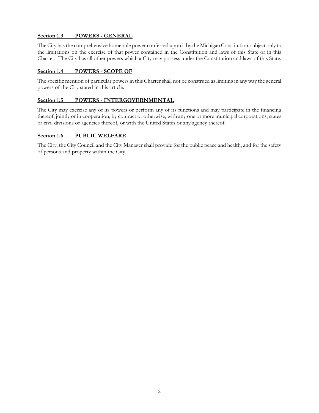#### **Section 1.3 POWERS - GENERAL**

The City has the comprehensive home rule power conferred upon it by the Michigan Constitution, subject only to the limitations on the exercise of that power contained in the Constitution and laws of this State or in this Charter. The City has all other powers which a City may possess under the Constitution and laws of this State.

#### **Section 1.4 POWERS - SCOPE OF**

The specific mention of particular powers in this Charter shall not be construed as limiting in any way the general powers of the City stated in this article.

#### **Section 1.5 POWERS - INTERGOVERNMENTAL**

The City may exercise any of its powers or perform any of its functions and may participate in the financing thereof, jointly or in cooperation, by contract or otherwise, with any one or more municipal corporations, states or civil divisions or agencies thereof, or with the United States or any agency thereof.

#### **Section 1.6 PUBLIC WELFARE**

The City, the City Council and the City Manager shall provide for the public peace and health, and for the safety of persons and property within the City.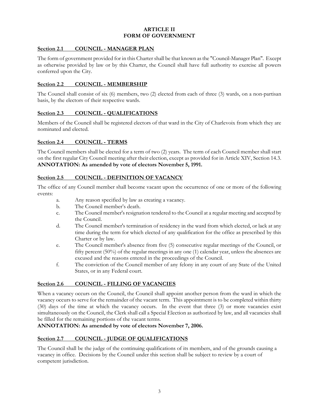#### **ARTICLE II FORM OF GOVERNMENT**

#### **Section 2.1 COUNCIL - MANAGER PLAN**

The form of government provided for in this Charter shall be that known as the "Council-Manager Plan". Except as otherwise provided by law or by this Charter, the Council shall have full authority to exercise all powers conferred upon the City.

#### **Section 2.2 COUNCIL - MEMBERSHIP**

The Council shall consist of six (6) members, two (2) elected from each of three (3) wards, on a non-partisan basis, by the electors of their respective wards.

#### **Section 2.3 COUNCIL - QUALIFICATIONS**

Members of the Council shall be registered electors of that ward in the City of Charlevoix from which they are nominated and elected.

#### **Section 2.4 COUNCIL - TERMS**

The Council members shall be elected for a term of two (2) years. The term of each Council member shall start on the first regular City Council meeting after their election, except as provided for in Article XIV, Section 14.3. **ANNOTATION: As amended by vote of electors November 5, 1991.**

#### **Section 2.5 COUNCIL - DEFINITION OF VACANCY**

The office of any Council member shall become vacant upon the occurrence of one or more of the following events:

- a. Any reason specified by law as creating a vacancy.
- b. The Council member's death.
- c. The Council member's resignation tendered to the Council at a regular meeting and accepted by the Council.
- d. The Council member's termination of residency in the ward from which elected, or lack at any time during the term for which elected of any qualification for the office as prescribed by this Charter or by law.
- e. The Council member's absence from five (5) consecutive regular meetings of the Council, or fifty percent (50%) of the regular meetings in any one (1) calendar year, unless the absences are excused and the reasons entered in the proceedings of the Council.
- f. The conviction of the Council member of any felony in any court of any State of the United States, or in any Federal court.

#### **Section 2.6 COUNCIL - FILLING OF VACANCIES**

When a vacancy occurs on the Council, the Council shall appoint another person from the ward in which the vacancy occurs to serve for the remainder of the vacant term. This appointment is to be completed within thirty (30) days of the time at which the vacancy occurs. In the event that three (3) or more vacancies exist simultaneously on the Council, the Clerk shall call a Special Election as authorized by law, and all vacancies shall be filled for the remaining portions of the vacant terms.

**ANNOTATION: As amended by vote of electors November 7, 2006.**

#### **Section 2.7 COUNCIL - JUDGE OF QUALIFICATIONS**

The Council shall be the judge of the continuing qualifications of its members, and of the grounds causing a vacancy in office. Decisions by the Council under this section shall be subject to review by a court of competent jurisdiction.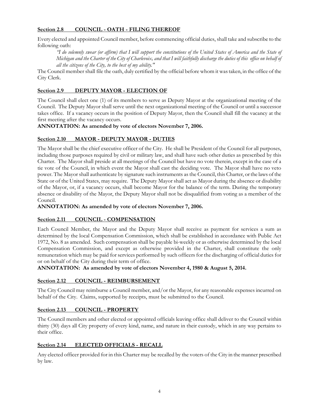#### **Section 2.8 COUNCIL - OATH - FILING THEREOF**

Every elected and appointed Council member, before commencing official duties, shall take and subscribe to the following oath:

*"I do solemnly swear (or affirm) that I will support the constitutions of the United States of America and the State of Michigan and the Charter of the City of Charlevoix, and that I will faithfully discharge the duties of this office on behalf of all the citizens of the City, to the best of my ability."*

The Council member shall file the oath, duly certified by the official before whom it was taken, in the office of the City Clerk.

#### **Section 2.9 DEPUTY MAYOR - ELECTION OF**

The Council shall elect one (1) of its members to serve as Deputy Mayor at the organizational meeting of the Council. The Deputy Mayor shall serve until the next organizational meeting of the Council or until a successor takes office. If a vacancy occurs in the position of Deputy Mayor, then the Council shall fill the vacancy at the first meeting after the vacancy occurs.

#### **ANNOTATION: As amended by vote of electors November 7, 2006.**

#### **Section 2.10 MAYOR - DEPUTY MAYOR - DUTIES**

The Mayor shall be the chief executive officer of the City. He shall be President of the Council for all purposes, including those purposes required by civil or military law, and shall have such other duties as prescribed by this Charter. The Mayor shall preside at all meetings of the Council but have no vote therein, except in the case of a tie vote of the Council, in which event the Mayor shall cast the deciding vote. The Mayor shall have no veto power. The Mayor shall authenticate by signature such instruments as the Council, this Charter, or the laws of the State or of the United States, may require. The Deputy Mayor shall act as Mayor during the absence or disability of the Mayor, or, if a vacancy occurs, shall become Mayor for the balance of the term. During the temporary absence or disability of the Mayor, the Deputy Mayor shall not be disqualified from voting as a member of the Council.

**ANNOTATION: As amended by vote of electors November 7, 2006.**

#### **Section 2.11 COUNCIL - COMPENSATION**

Each Council Member, the Mayor and the Deputy Mayor shall receive as payment for services a sum as determined by the local Compensation Commission, which shall be established in accordance with Public Act 1972, No. 8 as amended. Such compensation shall be payable bi-weekly or as otherwise determined by the local Compensation Commission, and except as otherwise provided in the Charter, shall constitute the only remuneration which may be paid for services performed by such officers for the discharging of official duties for or on behalf of the City during their term of office.

**ANNOTATION: As amended by vote of electors November 4, 1980 & August 5, 2014.**

#### **Section 2.12 COUNCIL - REIMBURSEMENT**

The City Council may reimburse a Council member, and/or the Mayor, for any reasonable expenses incurred on behalf of the City. Claims, supported by receipts, must be submitted to the Council.

#### **Section 2.13 COUNCIL - PROPERTY**

The Council members and other elected or appointed officials leaving office shall deliver to the Council within thirty (30) days all City property of every kind, name, and nature in their custody, which in any way pertains to their office.

#### **Section 2.14 ELECTED OFFICIALS - RECALL**

Any elected officer provided for in this Charter may be recalled by the voters of the City in the manner prescribed by law.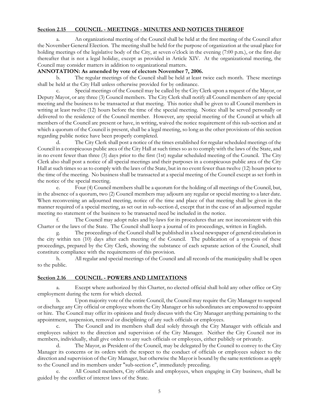#### **Section 2.15 COUNCIL - MEETINGS - MINUTES AND NOTICES THEREOF**

a. An organizational meeting of the Council shall be held at the first meeting of the Council after the November General Election. The meeting shall be held for the purpose of organization at the usual place for holding meetings of the legislative body of the City, at seven o'clock in the evening (7:00 p.m.), or the first day thereafter that is not a legal holiday, except as provided in Article XIV. At the organizational meeting, the Council may consider matters in addition to organizational matters.

#### **ANNOTATION: As amended by vote of electors November 7, 2006.**

b. The regular meetings of the Council shall be held at least twice each month. These meetings shall be held at the City Hall unless otherwise provided for by ordinance.

Special meetings of the Council may be called by the City Clerk upon a request of the Mayor, or Deputy Mayor, or any three (3) Council members. The City Clerk shall notify all Council members of any special meeting and the business to be transacted at that meeting. This notice shall be given to all Council members in writing at least twelve (12) hours before the time of the special meeting. Notice shall be served personally or delivered to the residence of the Council member. However, any special meeting of the Council at which all members of the Council are present or have, in writing, waived the notice requirement of this sub-section and at which a quorum of the Council is present, shall be a legal meeting, so long as the other provisions of this section regarding public notice have been properly completed.

The City Clerk shall post a notice of the times established for regular scheduled meetings of the Council in a conspicuous public area of the City Hall at such times so as to comply with the laws of the State, and in no event fewer than three (3) days prior to the first (1st) regular scheduled meeting of the Council. The City Clerk also shall post a notice of all special meetings and their purposes in a conspicuous public area of the City Hall at such times so as to comply with the laws of the State, but in no event fewer than twelve (12) hours prior to the time of the meeting. No business shall be transacted at a special meeting of the Council except as set forth in the notice of the special meeting.

e. Four (4) Council members shall be a quorum for the holding of all meetings of the Council, but, in the absence of a quorum, two (2) Council members may adjourn any regular or special meeting to a later date. When reconvening an adjourned meeting, notice of the time and place of that meeting shall be given in the manner required of a special meeting, as set out in sub-section d, except that in the case of an adjourned regular meeting no statement of the business to be transacted need be included in the notice.

f. The Council may adopt rules and by-laws for its procedures that are not inconsistent with this Charter or the laws of the State. The Council shall keep a journal of its proceedings, written in English.

g. The proceedings of the Council shall be published in a local newspaper of general circulation in the city within ten (10) days after each meeting of the Council. The publication of a synopsis of these proceedings, prepared by the City Clerk, showing the substance of each separate action of the Council, shall constitute compliance with the requirements of this provision.

h. All regular and special meetings of the Council and all records of the municipality shall be open to the public.

#### **Section 2.16 COUNCIL - POWERS AND LIMITATIONS**

a. Except where authorized by this Charter, no elected official shall hold any other office or City employment during the term for which elected.

b. Upon majority vote of the entire Council, the Council may require the City Manager to suspend or discharge any City official or employee whom the City Manager or his subordinates are empowered to appoint or hire. The Council may offer its opinions and freely discuss with the City Manager anything pertaining to the appointment, suspension, removal or disciplining of any such officials or employees.

The Council and its members shall deal solely through the City Manager with officials and employees subject to the direction and supervision of the City Manager. Neither the City Council nor its members, individually, shall give orders to any such officials or employees, either publicly or privately.

The Mayor, as President of the Council, may be delegated by the Council to convey to the City Manager its concerns or its orders with the respect to the conduct of officials or employees subject to the direction and supervision of the City Manager, but otherwise the Mayor is bound by the same restrictions as apply to the Council and its members under "sub-section c", immediately preceding.

All Council members, City officials and employees, when engaging in City business, shall be guided by the conflict of interest laws of the State.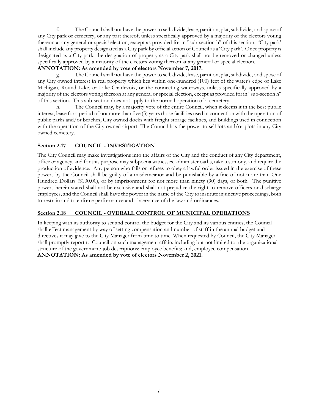f. The Council shall not have the power to sell, divide, lease, partition, plat, subdivide, or dispose of any City park or cemetery, or any part thereof, unless specifically approved by a majority of the electors voting thereon at any general or special election, except as provided for in "sub-section h" of this section. 'City park' shall include any property designated as a City park by official action of Council as a 'City park'. Once property is designated as a City park, the designation of property as a City park shall not be removed or changed unless specifically approved by a majority of the electors voting thereon at any general or special election.

#### **ANNOTATION: As amended by vote of electors November 7, 2017.**

The Council shall not have the power to sell, divide, lease, partition, plat, subdivide, or dispose of any City owned interest in real property which lies within one-hundred (100) feet of the water's edge of Lake Michigan, Round Lake, or Lake Charlevoix, or the connecting waterways, unless specifically approved by a majority of the electors voting thereon at any general or special election, except as provided for in "sub-section h" of this section. This sub-section does not apply to the normal operation of a cemetery.

h. The Council may, by a majority vote of the entire Council, when it deems it in the best public interest, lease for a period of not more than five (5) years those facilities used in connection with the operation of public parks and/or beaches, City owned docks with freight storage facilities, and buildings used in connection with the operation of the City owned airport. The Council has the power to sell lots and/or plots in any City owned cemetery.

#### **Section 2.17 COUNCIL - INVESTIGATION**

The City Council may make investigations into the affairs of the City and the conduct of any City department, office or agency, and for this purpose may subpoena witnesses, administer oaths, take testimony, and require the production of evidence. Any person who fails or refuses to obey a lawful order issued in the exercise of these powers by the Council shall be guilty of a misdemeanor and be punishable by a fine of not more than One Hundred Dollars (\$100.00), or by imprisonment for not more than ninety (90) days, or both. The punitive powers herein stated shall not be exclusive and shall not prejudice the right to remove officers or discharge employees, and the Council shall have the power in the name of the City to institute injunctive proceedings, both to restrain and to enforce performance and observance of the law and ordinances.

#### **Section 2.18 COUNCIL - OVERALL CONTROL OF MUNICIPAL OPERATIONS**

In keeping with its authority to set and control the budget for the City and its various entities, the Council shall effect management by way of setting compensation and number of staff in the annual budget and directives it may give to the City Manager from time to time. When requested by Council, the City Manager shall promptly report to Council on such management affairs including but not limited to: the organizational structure of the government; job descriptions; employee benefits; and, employee compensation. **ANNOTATION: As amended by vote of electors November 2, 2021.**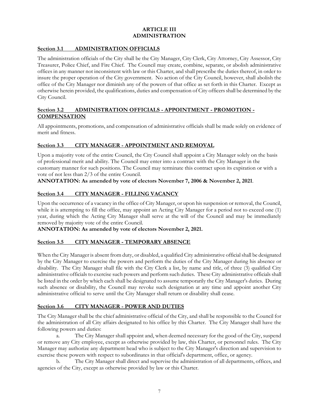#### **ARTICLE III ADMINISTRATION**

#### **Section 3.1 ADMINISTRATION OFFICIALS**

The administration officials of the City shall be the City Manager, City Clerk, City Attorney, City Assessor, City Treasurer, Police Chief, and Fire Chief. The Council may create, combine, separate, or abolish administrative offices in any manner not inconsistent with law or this Charter, and shall prescribe the duties thereof, in order to insure the proper operation of the City government. No action of the City Council, however, shall abolish the office of the City Manager nor diminish any of the powers of that office as set forth in this Charter. Except as otherwise herein provided, the qualifications, duties and compensation of City officers shall be determined by the City Council.

#### **Section 3.2 ADMINISTRATION OFFICIALS - APPOINTMENT - PROMOTION - COMPENSATION**

All appointments, promotions, and compensation of administrative officials shall be made solely on evidence of merit and fitness.

#### **Section 3.3 CITY MANAGER - APPOINTMENT AND REMOVAL**

Upon a majority vote of the entire Council, the City Council shall appoint a City Manager solely on the basis of professional merit and ability. The Council may enter into a contract with the City Manager in the customary manner for such positions. The Council may terminate this contract upon its expiration or with a vote of not less than 2/3 of the entire Council.

#### **ANNOTATION: As amended by vote of electors November 7, 2006 & November 2, 2021**.

#### **Section 3.4 CITY MANAGER - FILLING VACANCY**

Upon the occurrence of a vacancy in the office of City Manager, or upon his suspension or removal, the Council, while it is attempting to fill the office, may appoint an Acting City Manager for a period not to exceed one (1) year, during which the Acting City Manager shall serve at the will of the Council and may be immediately removed by majority vote of the entire Council.

**ANNOTATION: As amended by vote of electors November 2, 2021.**

#### **Section 3.5 CITY MANAGER - TEMPORARY ABSENCE**

When the City Manager is absent from duty, or disabled, a qualified City administrative official shall be designated by the City Manager to exercise the powers and perform the duties of the City Manager during his absence or disability. The City Manager shall file with the City Clerk a list, by name and title, of three (3) qualified City administrative officials to exercise such powers and perform such duties. These City administrative officials shall be listed in the order by which each shall be designated to assume temporarily the City Manager's duties. During such absence or disability, the Council may revoke such designation at any time and appoint another City administrative official to serve until the City Manager shall return or disability shall cease.

#### **Section 3.6 CITY MANAGER - POWER AND DUTIES**

The City Manager shall be the chief administrative official of the City, and shall be responsible to the Council for the administration of all City affairs designated to his office by this Charter. The City Manager shall have the following powers and duties:

a. The City Manager shall appoint and, when deemed necessary for the good of the City, suspend or remove any City employee, except as otherwise provided by law, this Charter, or personnel rules. The City Manager may authorize any department head who is subject to the City Manager's direction and supervision to exercise these powers with respect to subordinates in that official's department, office, or agency.

b. The City Manager shall direct and supervise the administration of all departments, offices, and agencies of the City, except as otherwise provided by law or this Charter.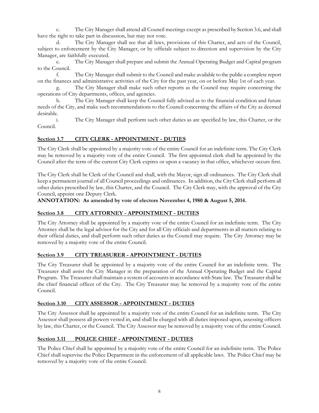c. The City Manager shall attend all Council meetings except as prescribed by Section 3.6, and shall have the right to take part in discussion, but may not vote.

d. The City Manager shall see that all laws, provisions of this Charter, and acts of the Council, subject to enforcement by the City Manager, or by officials subject to direction and supervision by the City Manager, are faithfully executed.

e. The City Manager shall prepare and submit the Annual Operating Budget and Capital program to the Council.

f. The City Manager shall submit to the Council and make available to the public a complete report on the finances and administrative activities of the City for the past year, on or before May 1st of each year.

g. The City Manager shall make such other reports as the Council may require concerning the operations of City departments, offices, and agencies.

h. The City Manager shall keep the Council fully advised as to the financial condition and future needs of the City, and make such recommendations to the Council concerning the affairs of the City as deemed desirable.

i. The City Manager shall perform such other duties as are specified by law, this Charter, or the Council.

#### **Section 3.7 CITY CLERK - APPOINTMENT - DUTIES**

The City Clerk shall be appointed by a majority vote of the entire Council for an indefinite term. The City Clerk may be removed by a majority vote of the entire Council. The first appointed clerk shall be appointed by the Council after the term of the current City Clerk expires or upon a vacancy in that office, whichever occurs first.

The City Clerk shall be Clerk of the Council and shall, with the Mayor, sign all ordinances. The City Clerk shall keep a permanent journal of all Council proceedings and ordinances. In addition, the City Clerk shall perform all other duties prescribed by law, this Charter, and the Council. The City Clerk may, with the approval of the City Council, appoint one Deputy Clerk.

#### **ANNOTATION: As amended by vote of electors November 4, 1980 & August 5, 2014.**

#### **Section 3.8 CITY ATTORNEY - APPOINTMENT - DUTIES**

The City Attorney shall be appointed by a majority vote of the entire Council for an indefinite term. The City Attorney shall be the legal advisor for the City and for all City officials and departments in all matters relating to their official duties, and shall perform such other duties as the Council may require. The City Attorney may be removed by a majority vote of the entire Council.

#### **Section 3.9 CITY TREASURER - APPOINTMENT - DUTIES**

The City Treasurer shall be appointed by a majority vote of the entire Council for an indefinite term. The Treasurer shall assist the City Manager in the preparation of the Annual Operating Budget and the Capital Program. The Treasurer shall maintain a system of accounts in accordance with State law. The Treasurer shall be the chief financial officer of the City. The City Treasurer may be removed by a majority vote of the entire Council.

#### **Section 3.10 CITY ASSESSOR - APPOINTMENT - DUTIES**

The City Assessor shall be appointed by a majority vote of the entire Council for an indefinite term. The City Assessor shall possess all powers vested in, and shall be charged with all duties imposed upon, assessing officers by law, this Charter, or the Council. The City Assessor may be removed by a majority vote of the entire Council.

#### **Section 3.11 POLICE CHIEF - APPOINTMENT - DUTIES**

The Police Chief shall be appointed by a majority vote of the entire Council for an indefinite term. The Police Chief shall supervise the Police Department in the enforcement of all applicable laws. The Police Chief may be removed by a majority vote of the entire Council.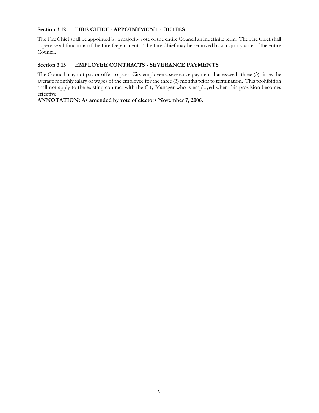#### **Section 3.12 FIRE CHIEF - APPOINTMENT - DUTIES**

The Fire Chief shall be appointed by a majority vote of the entire Council an indefinite term. The Fire Chief shall supervise all functions of the Fire Department. The Fire Chief may be removed by a majority vote of the entire Council.

#### **Section 3.13 EMPLOYEE CONTRACTS - SEVERANCE PAYMENTS**

The Council may not pay or offer to pay a City employee a severance payment that exceeds three (3) times the average monthly salary or wages of the employee for the three (3) months prior to termination. This prohibition shall not apply to the existing contract with the City Manager who is employed when this provision becomes effective.

#### **ANNOTATION: As amended by vote of electors November 7, 2006.**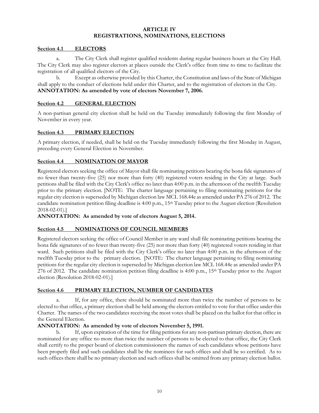#### **ARTICLE IV REGISTRATIONS, NOMINATIONS, ELECTIONS**

#### **Section 4.1 ELECTORS**

a. The City Clerk shall register qualified residents during regular business hours at the City Hall. The City Clerk may also register electors at places outside the Clerk's office from time to time to facilitate the registration of all qualified electors of the City.

b. Except as otherwise provided by this Charter, the Constitution and laws of the State of Michigan shall apply to the conduct of elections held under this Charter, and to the registration of electors in the City. **ANNOTATION: As amended by vote of electors November 7, 2006.**

#### **Section 4.2 GENERAL ELECTION**

A non-partisan general city election shall be held on the Tuesday immediately following the first Monday of November in every year.

#### **Section 4.3 PRIMARY ELECTION**

A primary election, if needed, shall be held on the Tuesday immediately following the first Monday in August, preceding every General Election in November.

#### **Section 4.4 NOMINATION OF MAYOR**

Registered electors seeking the office of Mayor shall file nominating petitions bearing the bona fide signatures of no fewer than twenty-five (25) nor more than forty (40) registered voters residing in the City at large. Such petitions shall be filed with the City Clerk's office no later than 4:00 p.m. in the afternoon of the twelfth Tuesday prior to the primary election. [NOTE: The charter language pertaining to filing nominating petitions for the regular city election is superseded by Michigan election law MCL 168.44e as amended under PA 276 of 2012. The candidate nomination petition filing deadline is  $4:00$  p.m.,  $15<sup>th</sup>$  Tuesday prior to the August election (Resolution 2018-02-01).]

**ANNOTATION: As amended by vote of electors August 5, 2014.**

#### **Section 4.5 NOMINATIONS OF COUNCIL MEMBERS**

Registered electors seeking the office of Council Member in any ward shall file nominating petitions bearing the bona fide signatures of no fewer than twenty-five (25) nor more than forty (40) registered voters residing in that ward. Such petitions shall be filed with the City Clerk's office no later than 4:00 p.m. in the afternoon of the twelfth Tuesday prior to the primary election. [NOTE: The charter language pertaining to filing nominating petitions for the regular city election is superseded by Michigan election law MCL 168.44e as amended under PA 276 of 2012. The candidate nomination petition filing deadline is  $4:00$  p.m.,  $15<sup>th</sup>$  Tuesday prior to the August election (Resolution 2018-02-01).]

#### **Section 4.6 PRIMARY ELECTION, NUMBER OF CANDIDATES**

a. If, for any office, there should be nominated more than twice the number of persons to be elected to that office, a primary election shall be held among the electors entitled to vote for that office under this Charter. The names of the two candidates receiving the most votes shall be placed on the ballot for that office in the General Election.

#### **ANNOTATION: As amended by vote of electors November 5, 1991.**

b. If, upon expiration of the time for filing petitions for any non-partisan primary election, there are nominated for any office no more than twice the number of persons to be elected to that office, the City Clerk shall certify to the proper board of election commissioners the names of such candidates whose petitions have been properly filed and such candidates shall be the nominees for such offices and shall be so certified. As to such offices there shall be no primary election and such offices shall be omitted from any primary election ballot.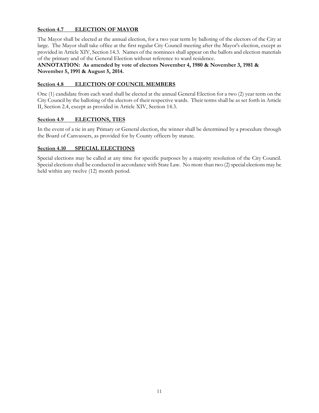#### **Section 4.7 ELECTION OF MAYOR**

The Mayor shall be elected at the annual election, for a two year term by balloting of the electors of the City at large. The Mayor shall take office at the first regular City Council meeting after the Mayor's election, except as provided in Article XIV, Section 14.3. Names of the nominees shall appear on the ballots and election materials of the primary and of the General Election without reference to ward residence.

**ANNOTATION: As amended by vote of electors November 4, 1980 & November 3, 1981 & November 5, 1991 & August 5, 2014.**

#### **Section 4.8 ELECTION OF COUNCIL MEMBERS**

One (1) candidate from each ward shall be elected at the annual General Election for a two (2) year term on the City Council by the balloting of the electors of their respective wards. Their terms shall be as set forth in Article II, Section 2.4, except as provided in Article XIV, Section 14.3.

#### **Section 4.9 ELECTIONS, TIES**

In the event of a tie in any Primary or General election, the winner shall be determined by a procedure through the Board of Canvassers, as provided for by County officers by statute.

#### **Section 4.10 SPECIAL ELECTIONS**

Special elections may be called at any time for specific purposes by a majority resolution of the City Council. Special elections shall be conducted in accordance with State Law. No more than two (2) special elections may be held within any twelve (12) month period.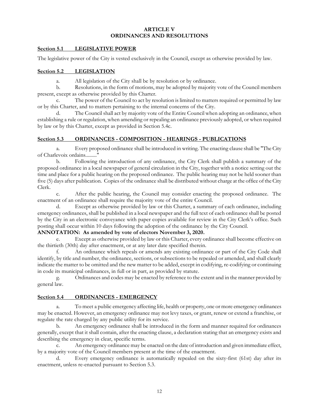#### **ARTICLE V ORDINANCES AND RESOLUTIONS**

#### **Section 5.1 LEGISLATIVE POWER**

The legislative power of the City is vested exclusively in the Council, except as otherwise provided by law.

#### **Section 5.2 LEGISLATION**

a. All legislation of the City shall be by resolution or by ordinance.

b. Resolutions, in the form of motions, may be adopted by majority vote of the Council members present, except as otherwise provided by this Charter.

c. The power of the Council to act by resolution is limited to matters required or permitted by law or by this Charter, and to matters pertaining to the internal concerns of the City.

d. The Council shall act by majority vote of the Entire Council when adopting an ordinance, when establishing a rule or regulation, when amending or repealing an ordinance previously adopted, or when required by law or by this Charter, except as provided in Section 5.4c.

#### **Section 5.3 ORDINANCES - COMPOSITION - HEARINGS - PUBLICATIONS**

a. Every proposed ordinance shall be introduced in writing. The enacting clause shall be "The City of Charlevoix ordains........."

b. Following the introduction of any ordinance, the City Clerk shall publish a summary of the proposed ordinance in a local newspaper of general circulation in the City, together with a notice setting out the time and place for a public hearing on the proposed ordinance. The public hearing may not be held sooner than five (5) days after publication. Copies of the ordinance shall be distributed without charge at the office of the City Clerk.

c. After the public hearing, the Council may consider enacting the proposed ordinance. The enactment of an ordinance shall require the majority vote of the entire Council.

d. Except as otherwise provided by law or this Charter, a summary of each ordinance, including emergency ordinances, shall be published in a local newspaper and the full text of each ordinance shall be posted by the City in an electronic conveyance with paper copies available for review in the City Clerk's office. Such posting shall occur within 10 days following the adoption of the ordinance by the City Council.

#### **ANNOTATION: As amended by vote of electors November 3, 2020.**

e. Except as otherwise provided by law or this Charter, every ordinance shall become effective on the thirtieth (30th) day after enactment, or at any later date specified therein.

f. An ordinance which repeals or amends any existing ordinance or part of the City Code shall identify, by title and number, the ordinance, sections, or subsections to be repealed or amended, and shall clearly indicate the matter to be omitted and the new matter to be added, except in codifying, re-codifying or continuing in code its municipal ordinances, in full or in part, as provided by statute.

g. Ordinances and codes may be enacted by reference to the extent and in the manner provided by general law.

#### **Section 5.4 ORDINANCES - EMERGENCY**

a. To meet a public emergency affecting life, health or property, one or more emergency ordinances may be enacted. However, an emergency ordinance may not levy taxes, or grant, renew or extend a franchise, or regulate the rate charged by any public utility for its service.

b. An emergency ordinance shall be introduced in the form and manner required for ordinances generally, except that it shall contain, after the enacting clause, a declaration stating that an emergency exists and describing the emergency in clear, specific terms.

An emergency ordinance may be enacted on the date of introduction and given immediate effect, by a majority vote of the Council members present at the time of the enactment.

d. Every emergency ordinance is automatically repealed on the sixty-first (61st) day after its enactment, unless re-enacted pursuant to Section 5.3.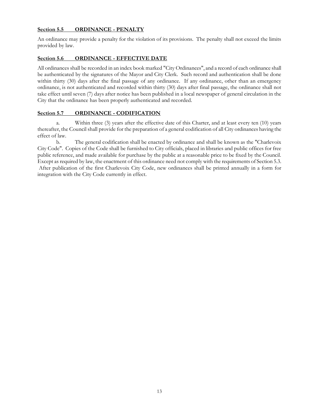#### **Section 5.5 ORDINANCE - PENALTY**

An ordinance may provide a penalty for the violation of its provisions. The penalty shall not exceed the limits provided by law.

#### **Section 5.6 ORDINANCE - EFFECTIVE DATE**

All ordinances shall be recorded in an index book marked "City Ordinances", and a record of each ordinance shall be authenticated by the signatures of the Mayor and City Clerk. Such record and authentication shall be done within thirty (30) days after the final passage of any ordinance. If any ordinance, other than an emergency ordinance, is not authenticated and recorded within thirty (30) days after final passage, the ordinance shall not take effect until seven (7) days after notice has been published in a local newspaper of general circulation in the City that the ordinance has been properly authenticated and recorded.

#### **Section 5.7 ORDINANCE - CODIFICATION**

a. Within three (3) years after the effective date of this Charter, and at least every ten (10) years thereafter, the Council shall provide for the preparation of a general codification of all City ordinances having the effect of law.

b. The general codification shall be enacted by ordinance and shall be known as the "Charlevoix City Code". Copies of the Code shall be furnished to City officials, placed in libraries and public offices for free public reference, and made available for purchase by the public at a reasonable price to be fixed by the Council. Except as required by law, the enactment of this ordinance need not comply with the requirements of Section 5.3. After publication of the first Charlevoix City Code, new ordinances shall be printed annually in a form for integration with the City Code currently in effect.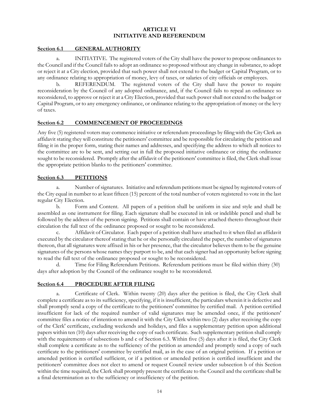#### **ARTICLE VI INITIATIVE AND REFERENDUM**

#### **Section 6.1 GENERAL AUTHORITY**

a. INITIATIVE. The registered voters of the City shall have the power to propose ordinances to the Council and if the Council fails to adopt an ordinance so proposed without any change in substance, to adopt or reject it at a City election, provided that such power shall not extend to the budget or Capital Program, or to any ordinance relating to appropriation of money, levy of taxes, or salaries of city officials or employees.

b. REFERENDUM. The registered voters of the City shall have the power to require reconsideration by the Council of any adopted ordinance, and, if the Council fails to repeal an ordinance so reconsidered, to approve or reject it at a City Election, provided that such power shall not extend to the budget or Capital Program, or to any emergency ordinance, or ordinance relating to the appropriation of money or the levy of taxes.

#### **Section 6.2 COMMENCEMENT OF PROCEEDINGS**

Any five (5) registered voters may commence initiative or referendum proceedings by filing with the City Clerk an affidavit stating they will constitute the petitioners' committee and be responsible for circulating the petition and filing it in the proper form, stating their names and addresses, and specifying the address to which all notices to the committee are to be sent, and setting out in full the proposed initiative ordinance or citing the ordinance sought to be reconsidered. Promptly after the affidavit of the petitioners' committee is filed, the Clerk shall issue the appropriate petition blanks to the petitioners' committee.

#### **Section 6.3 PETITIONS**

a. Number of signatures. Initiative and referendum petitions must be signed by registered voters of the City equal in number to at least fifteen (15) percent of the total number of voters registered to vote in the last regular City Election.

b. Form and Content. All papers of a petition shall be uniform in size and style and shall be assembled as one instrument for filing. Each signature shall be executed in ink or indelible pencil and shall be followed by the address of the person signing. Petitions shall contain or have attached thereto throughout their circulation the full text of the ordinance proposed or sought to be reconsidered.

c. Affidavit of Circulator. Each paper of a petition shall have attached to it when filed an affidavit executed by the circulator thereof stating that he or she personally circulated the paper, the number of signatures thereon, that all signatures were affixed in his or her presence, that the circulator believes them to be the genuine signatures of the persons whose names they purport to be, and that each signer had an opportunity before signing to read the full text of the ordinance proposed or sought to be reconsidered.

d. Time for Filing Referendum Petitions. Referendum petitions must be filed within thirty (30) days after adoption by the Council of the ordinance sought to be reconsidered.

#### **Section 6.4 PROCEDURE AFTER FILING**

a. Certificate of Clerk. Within twenty (20) days after the petition is filed, the City Clerk shall complete a certificate as to its sufficiency, specifying, if it is insufficient, the particulars wherein it is defective and shall promptly send a copy of the certificate to the petitioners' committee by certified mail. A petition certified insufficient for lack of the required number of valid signatures may be amended once, if the petitioners' committee files a notice of intention to amend it with the City Clerk within two (2) days after receiving the copy of the Clerk' certificate, excluding weekends and holidays, and files a supplementary petition upon additional papers within ten (10) days after receiving the copy of such certificate. Such supplementary petition shall comply with the requirements of subsections b and c of Section 6.3. Within five (5) days after it is filed, the City Clerk shall complete a certificate as to the sufficiency of the petition as amended and promptly send a copy of such certificate to the petitioners' committee by certified mail, as in the case of an original petition. If a petition or amended petition is certified sufficient, or if a petition or amended petition is certified insufficient and the petitioners' committee does not elect to amend or request Council review under subsection b of this Section within the time required, the Clerk shall promptly present the certificate to the Council and the certificate shall be a final determination as to the sufficiency or insufficiency of the petition.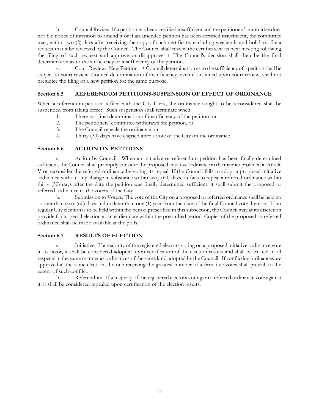b. Council Review. If a petition has been certified insufficient and the petitioners' committee does not file notice of intention to amend it or if an amended petition has been certified insufficient, the committee may, within two (2) days after receiving the copy of such certificate, excluding weekends and holidays, file a request that it be reviewed by the Council. The Council shall review the certificate at its next meeting following the filing of such request and approve or disapprove it. The Council's decision shall then be the final determination as to the sufficiency or insufficiency of the petition.

c. Court Review: New Petition. A Council determination as to the sufficiency of a petition shall be subject to court review. Council determination of insufficiency, even if sustained upon court review, shall not prejudice the filing of a new petition for the same purpose.

#### **Section 6.5 REFERENDUM PETITIONS-SUSPENSION OF EFFECT OF ORDINANCE**

When a referendum petition is filed with the City Clerk, the ordinance sought to be reconsidered shall be suspended from taking effect. Such suspension shall terminate when:

- 1. There is a final determination of insufficiency of the petition, or
- 2. The petitioners' committee withdraws the petition, or<br>3. The Council repeals the ordinance or
- The Council repeals the ordinance, or
- 4. Thirty (30) days have elapsed after a vote of the City on the ordinance.

#### **Section 6.6 ACTION ON PETITIONS**

a. Action by Council. When an initiative or referendum petition has been finally determined sufficient, the Council shall promptly consider the proposed initiative ordinance in the manner provided in Article V or reconsider the referred ordinance by voting its repeal. If the Council fails to adopt a proposed initiative ordinance without any change in substance within sixty (60) days, or fails to repeal a referred ordinance within thirty (30) days after the date the petition was finally determined sufficient, it shall submit the proposed or referred ordinance to the voters of the City.

b. Submission to Voters. The vote of the City on a proposed or referred ordinance shall be held no sooner than sixty (60) days and no later than one (1) year from the date of the final Council vote thereon. If no regular City election is to be held within the period prescribed in this subsection, the Council may at its discretion provide for a special election at an earlier date within the prescribed period. Copies of the proposed or referred ordinance shall be made available at the polls.

#### **Section 6.7 RESULTS OF ELECTION**

a. Initiative. If a majority of the registered electors voting on a proposed initiative ordinance vote in its favor, it shall be considered adopted upon certification of the election results and shall be treated in all respects in the same manner as ordinances of the same kind adopted by the Council. If conflicting ordinances are approved at the same election, the one receiving the greatest number of affirmative votes shall prevail, to the extent of such conflict.

b. Referendum. If a majority of the registered electors voting on a referred ordinance vote against it, it shall be considered repealed upon certification of the election results.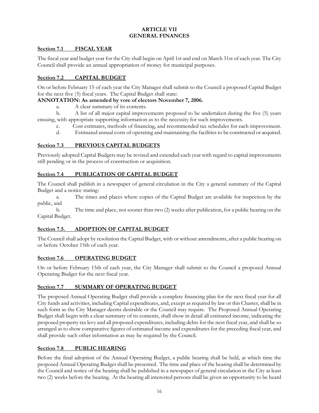#### **ARTICLE VII GENERAL FINANCES**

#### **Section 7.1 FISCAL YEAR**

The fiscal year and budget year for the City shall begin on April 1st and end on March 31st of each year. The City Council shall provide an annual appropriation of money for municipal purposes.

#### **Section 7.2 CAPITAL BUDGET**

On or before February 15 of each year the City Manager shall submit to the Council a proposed Capital Budget for the next five (5) fiscal years. The Capital Budget shall state:

#### **ANNOTATION: As amended by vote of electors November 7, 2006.**

a. A clear summary of its contents.

b. A list of all major capital improvements proposed to be undertaken during the five (5) years ensuing, with appropriate supporting information as to the necessity for such improvements.

c. Cost estimates, methods of financing, and recommended tax schedules for each improvement.

d. Estimated annual costs of operating and maintaining the facilities to be constructed or acquired.

#### **Section 7.3 PREVIOUS CAPITAL BUDGETS**

Previously adopted Capital Budgets may be revised and extended each year with regard to capital improvements still pending or in the process of construction or acquisition.

#### **Section 7.4 PUBLICATION OF CAPITAL BUDGET**

The Council shall publish in a newspaper of general circulation in the City a general summary of the Capital Budget and a notice stating:

a. The times and places where copies of the Capital Budget are available for inspection by the public, and

b. The time and place, not sooner than two (2) weeks after publication, for a public hearing on the Capital Budget.

#### **Section 7.5. ADOPTION OF CAPITAL BUDGET**

The Council shall adopt by resolution the Capital Budget, with or without amendments, after a public hearing on or before October 15th of each year.

#### **Section 7.6 OPERATING BUDGET**

On or before February 15th of each year, the City Manager shall submit to the Council a proposed Annual Operating Budget for the next fiscal year.

#### **Section 7.7 SUMMARY OF OPERATING BUDGET**

The proposed Annual Operating Budget shall provide a complete financing plan for the next fiscal year for all City funds and activities, including Capital expenditures, and, except as required by law or this Charter, shall be in such form as the City Manager deems desirable or the Council may require. The Proposed Annual Operating Budget shall begin with a clear summary of its contents, shall show in detail all estimated income, indicating the proposed property tax levy and all proposed expenditures, including debts for the next fiscal year, and shall be so arranged as to show comparative figures of estimated income and expenditures for the preceding fiscal year, and shall provide such other information as may be required by the Council.

#### **Section 7.8 PUBLIC HEARING**

Before the final adoption of the Annual Operating Budget, a public hearing shall be held, at which time the proposed Annual Operating Budget shall be presented. The time and place of the hearing shall be determined by the Council and notice of the hearing shall be published in a newspaper of general circulation in the City at least two (2) weeks before the hearing. At the hearing all interested persons shall be given an opportunity to be heard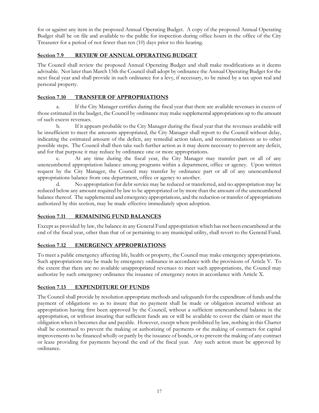for or against any item in the proposed Annual Operating Budget. A copy of the proposed Annual Operating Budget shall be on file and available to the public for inspection during office hours in the office of the City Treasurer for a period of not fewer than ten (10) days prior to this hearing.

#### **Section 7.9 REVIEW OF ANNUAL OPERATING BUDGET**

The Council shall review the proposed Annual Operating Budget and shall make modifications as it deems advisable. Not later than March 15th the Council shall adopt by ordinance the Annual Operating Budget for the next fiscal year and shall provide in such ordinance for a levy, if necessary, to be raised by a tax upon real and personal property.

#### **Section 7.10 TRANSFER OF APPROPRIATIONS**

a. If the City Manager certifies during the fiscal year that there are available revenues in excess of those estimated in the budget, the Council by ordinance may make supplemental appropriations up to the amount of such excess revenues.

b. If it appears probable to the City Manager during the fiscal year that the revenues available will be insufficient to meet the amounts appropriated, the City Manager shall report to the Council without delay, indicating the estimated amount of the deficit, any remedial action taken, and recommendations as to other possible steps. The Council shall then take such further action as it may deem necessary to prevent any deficit, and for that purpose it may reduce by ordinance one or more appropriations.

At any time during the fiscal year, the City Manager may transfer part or all of any unencumbered appropriation balance among programs within a department, office or agency. Upon written request by the City Manager, the Council may transfer by ordinance part or all of any unencumbered appropriations balance from one department, office or agency to another.

d. No appropriation for debt service may be reduced or transferred, and no appropriation may be reduced below any amount required by law to be appropriated or by more than the amount of the unencumbered balance thereof. The supplemental and emergency appropriations, and the reduction or transfer of appropriations authorized by this section, may be made effective immediately upon adoption.

#### **Section 7.11 REMAINING FUND BALANCES**

Except as provided by law, the balance in any General Fund appropriation which has not been encumbered at the end of the fiscal year, other than that of or pertaining to any municipal utility, shall revert to the General Fund.

#### **Section 7.12 EMERGENCY APPROPRIATIONS**

To meet a public emergency affecting life, health or property, the Council may make emergency appropriations. Such appropriations may be made by emergency ordinance in accordance with the provisions of Article V. To the extent that there are no available unappropriated revenues to meet such appropriations, the Council may authorize by such emergency ordinance the issuance of emergency notes in accordance with Article X.

#### **Section 7.13 EXPENDITURE OF FUNDS**

The Council shall provide by resolution appropriate methods and safeguards for the expenditure of funds and the payment of obligations so as to insure that no payment shall be made or obligation incurred without an appropriation having first been approved by the Council, without a sufficient unencumbered balance in the appropriation, or without insuring that sufficient funds are or will be available to cover the claim or meet the obligation when it becomes due and payable. However, except where prohibited by law, nothing in this Charter shall be construed to prevent the making or authorizing of payments or the making of contracts for capital improvements to be financed wholly or partly by the issuance of bonds, or to prevent the making of any contract or lease providing for payments beyond the end of the fiscal year. Any such action must be approved by ordinance.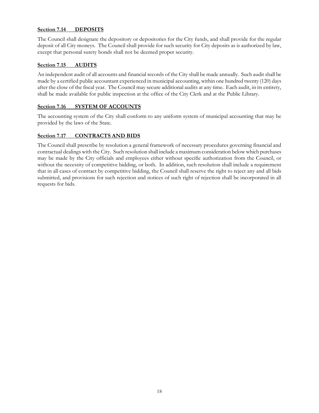#### **Section 7.14 DEPOSITS**

The Council shall designate the depository or depositories for the City funds, and shall provide for the regular deposit of all City moneys. The Council shall provide for such security for City deposits as is authorized by law, except that personal surety bonds shall not be deemed proper security.

#### **Section 7.15 AUDITS**

An independent audit of all accounts and financial records of the City shall be made annually. Such audit shall be made by a certified public accountant experienced in municipal accounting, within one hundred twenty (120) days after the close of the fiscal year. The Council may secure additional audits at any time. Each audit, in its entirety, shall be made available for public inspection at the office of the City Clerk and at the Public Library.

#### **Section 7.16 SYSTEM OF ACCOUNTS**

The accounting system of the City shall conform to any uniform system of municipal accounting that may be provided by the laws of the State.

#### **Section 7.17 CONTRACTS AND BIDS**

The Council shall prescribe by resolution a general framework of necessary procedures governing financial and contractual dealings with the City. Such resolution shall include a maximum consideration below which purchases may be made by the City officials and employees either without specific authorization from the Council, or without the necessity of competitive bidding, or both. In addition, such resolution shall include a requirement that in all cases of contract by competitive bidding, the Council shall reserve the right to reject any and all bids submitted, and provisions for such rejection and notices of such right of rejection shall be incorporated in all requests for bids.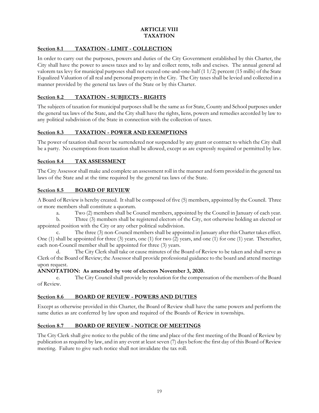#### **ARTICLE VIII TAXATION**

### **Section 8.1 TAXATION - LIMIT - COLLECTION**

In order to carry out the purposes, powers and duties of the City Government established by this Charter, the City shall have the power to assess taxes and to lay and collect rents, tolls and excises. The annual general ad valorem tax levy for municipal purposes shall not exceed one-and-one-half (1 1/2) percent (15 mills) of the State Equalized Valuation of all real and personal property in the City. The City taxes shall be levied and collected in a manner provided by the general tax laws of the State or by this Charter.

#### **Section 8.2 TAXATION - SUBJECTS - RIGHTS**

The subjects of taxation for municipal purposes shall be the same as for State, County and School purposes under the general tax laws of the State, and the City shall have the rights, liens, powers and remedies accorded by law to any political subdivision of the State in connection with the collection of taxes.

#### **Section 8.3 TAXATION - POWER AND EXEMPTIONS**

The power of taxation shall never be surrendered nor suspended by any grant or contract to which the City shall be a party. No exemptions from taxation shall be allowed, except as are expressly required or permitted by law.

#### **Section 8.4 TAX ASSESSMENT**

The City Assessor shall make and complete an assessment roll in the manner and form provided in the general tax laws of the State and at the time required by the general tax laws of the State.

#### **Section 8.5 BOARD OF REVIEW**

A Board of Review is hereby created. It shall be composed of five (5) members, appointed by the Council. Three or more members shall constitute a quorum.

a. Two (2) members shall be Council members, appointed by the Council in January of each year.

b. Three (3) members shall be registered electors of the City, not otherwise holding an elected or appointed position with the City or any other political subdivision.

c. The three (3) non-Council members shall be appointed in January after this Charter takes effect. One (1) shall be appointed for three (3) years, one (1) for two (2) years, and one (1) for one (1) year. Thereafter, each non-Council member shall be appointed for three (3) years.

d. The City Clerk shall take or cause minutes of the Board of Review to be taken and shall serve as Clerk of the Board of Review; the Assessor shall provide professional guidance to the board and attend meetings upon request.

#### **ANNOTATION: As amended by vote of electors November 3, 2020.**

e. The City Council shall provide by resolution for the compensation of the members of the Board of Review.

#### **Section 8.6 BOARD OF REVIEW - POWERS AND DUTIES**

Except as otherwise provided in this Charter, the Board of Review shall have the same powers and perform the same duties as are conferred by law upon and required of the Boards of Review in townships.

#### **Section 8.7 BOARD OF REVIEW - NOTICE OF MEETINGS**

The City Clerk shall give notice to the public of the time and place of the first meeting of the Board of Review by publication as required by law, and in any event at least seven (7) days before the first day of this Board of Review meeting. Failure to give such notice shall not invalidate the tax roll.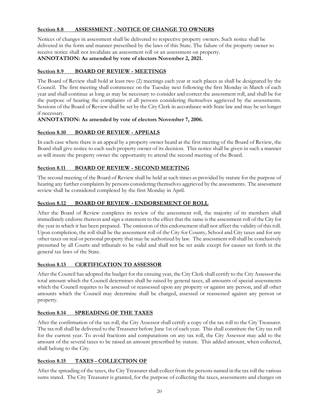#### **Section 8.8 ASSESSMENT - NOTICE OF CHANGE TO OWNERS**

Notices of changes in assessment shall be delivered to respective property owners. Such notice shall be delivered in the form and manner prescribed by the laws of this State. The failure of the property owner to receive notice shall not invalidate an assessment roll or an assessment on property.

#### **ANNOTATION: As amended by vote of electors November 2, 2021.**

#### **Section 8.9 BOARD OF REVIEW - MEETINGS**

The Board of Review shall hold at least two (2) meetings each year at such places as shall be designated by the Council. The first meeting shall commence on the Tuesday next following the first Monday in March of each year and shall continue as long as may be necessary to consider and correct the assessment roll, and shall be for the purpose of hearing the complaints of all persons considering themselves aggrieved by the assessments. Sessions of the Board of Review shall be set by the City Clerk in accordance with State law and may be set longer if necessary.

#### **ANNOTATION: As amended by vote of electors November 7, 2006.**

#### **Section 8.10 BOARD OF REVIEW - APPEALS**

In each case where there is an appeal by a property owner heard at the first meeting of the Board of Review, the Board shall give notice to each such property owner of its decision. This notice shall be given in such a manner as will insure the property owner the opportunity to attend the second meeting of the Board.

#### **Section 8.11 BOARD OF REVIEW - SECOND MEETING**

The second meeting of the Board of Review shall be held at such times as provided by statute for the purpose of hearing any further complaints by persons considering themselves aggrieved by the assessments. The assessment review shall be considered completed by the first Monday in April.

#### **Section 8.12 BOARD OF REVIEW - ENDORSEMENT OF ROLL**

After the Board of Review completes its review of the assessment roll, the majority of its members shall immediately endorse thereon and sign a statement to the effect that the same is the assessment roll of the City for the year in which it has been prepared. The omission of this endorsement shall not affect the validity of this roll. Upon completion, the roll shall be the assessment roll of the City for County, School and City taxes and for any other taxes on real or personal property that may be authorized by law. The assessment roll shall be conclusively presumed by all Courts and tribunals to be valid and shall not be set aside except for causes set forth in the general tax laws of the State.

#### **Section 8.13 CERTIFICATION TO ASSESSOR**

After the Council has adopted the budget for the ensuing year, the City Clerk shall certify to the City Assessor the total amount which the Council determines shall be raised by general taxes, all amounts of special assessments which the Council requires to be assessed or reassessed upon any property or against any person, and all other amounts which the Council may determine shall be charged, assessed or reassessed against any person or property.

#### **Section 8.14 SPREADING OF THE TAXES**

After the confirmation of the tax roll, the City Assessor shall certify a copy of the tax roll to the City Treasurer. The tax roll shall be delivered to the Treasurer before June 1st of each year. This shall constitute the City tax roll for the current year. To avoid fractions and computations on any tax roll, the City Assessor may add to the amount of the several taxes to be raised an amount prescribed by statute. This added amount, when collected, shall belong to the City.

#### **Section 8.15 TAXES - COLLECTION OF**

After the spreading of the taxes, the City Treasurer shall collect from the persons named in the tax roll the various sums stated. The City Treasurer is granted, for the purpose of collecting the taxes, assessments and charges on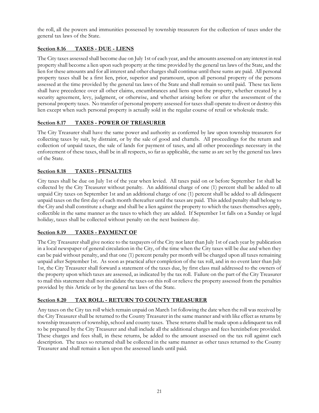the roll, all the powers and immunities possessed by township treasurers for the collection of taxes under the general tax laws of the State.

#### **Section 8.16 TAXES - DUE - LIENS**

The City taxes assessed shall become due on July 1st of each year, and the amounts assessed on any interest in real property shall become a lien upon such property at the time provided by the general tax laws of the State, and the lien for these amounts and for all interest and other charges shall continue until these sums are paid. All personal property taxes shall be a first lien, prior, superior and paramount, upon all personal property of the persons assessed at the time provided by the general tax laws of the State and shall remain so until paid. These tax liens shall have precedence over all other claims, encumbrances and liens upon the property, whether created by a security agreement, levy, judgment, or otherwise, and whether arising before or after the assessment of the personal property taxes. No transfer of personal property assessed for taxes shall operate to divest or destroy this lien except when such personal property is actually sold in the regular course of retail or wholesale trade.

#### **Section 8.17 TAXES - POWER OF TREASURER**

The City Treasurer shall have the same power and authority as conferred by law upon township treasurers for collecting taxes by suit, by distraint, or by the sale of good and chattels. All proceedings for the return and collection of unpaid taxes, the sale of lands for payment of taxes, and all other proceedings necessary in the enforcement of these taxes, shall be in all respects, so far as applicable, the same as are set by the general tax laws of the State.

#### **Section 8.18 TAXES - PENALTIES**

City taxes shall be due on July 1st of the year when levied. All taxes paid on or before September 1st shall be collected by the City Treasurer without penalty. An additional charge of one (1) percent shall be added to all unpaid City taxes on September 1st and an additional charge of one (1) percent shall be added to all delinquent unpaid taxes on the first day of each month thereafter until the taxes are paid. This added penalty shall belong to the City and shall constitute a charge and shall be a lien against the property to which the taxes themselves apply, collectible in the same manner as the taxes to which they are added. If September 1st falls on a Sunday or legal holiday, taxes shall be collected without penalty on the next business day.

#### **Section 8.19 TAXES - PAYMENT OF**

The City Treasurer shall give notice to the taxpayers of the City not later than July 1st of each year by publication in a local newspaper of general circulation in the City, of the time when the City taxes will be due and when they can be paid without penalty, and that one (1) percent penalty per month will be charged upon all taxes remaining unpaid after September 1st. As soon as practical after completion of the tax roll, and in no event later than July 1st, the City Treasurer shall forward a statement of the taxes due, by first class mail addressed to the owners of the property upon which taxes are assessed, as indicated by the tax roll. Failure on the part of the City Treasurer to mail this statement shall not invalidate the taxes on this roll or relieve the property assessed from the penalties provided by this Article or by the general tax laws of the State.

#### **Section 8.20 TAX ROLL - RETURN TO COUNTY TREASURER**

Any taxes on the City tax roll which remain unpaid on March 1st following the date when the roll was received by the City Treasurer shall be returned to the County Treasurer in the same manner and with like effect as returns by township treasurers of township, school and county taxes. These returns shall be made upon a delinquent tax roll to be prepared by the City Treasurer and shall include all the additional charges and fees hereinbefore provided. These charges and fees shall, in these returns, be added to the amount assessed on the tax roll against each description. The taxes so returned shall be collected in the same manner as other taxes returned to the County Treasurer and shall remain a lien upon the assessed lands until paid.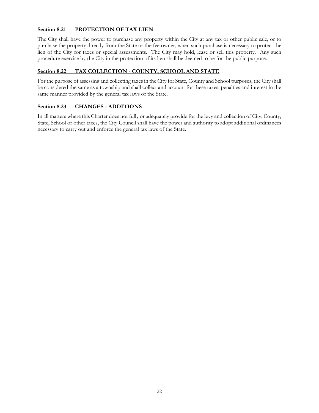#### **Section 8.21 PROTECTION OF TAX LIEN**

The City shall have the power to purchase any property within the City at any tax or other public sale, or to purchase the property directly from the State or the fee owner, when such purchase is necessary to protect the lien of the City for taxes or special assessments. The City may hold, lease or sell this property. Any such procedure exercise by the City in the protection of its lien shall be deemed to be for the public purpose.

#### **Section 8.22 TAX COLLECTION - COUNTY, SCHOOL AND STATE**

For the purpose of assessing and collecting taxes in the City for State, County and School purposes, the City shall be considered the same as a township and shall collect and account for these taxes, penalties and interest in the same manner provided by the general tax laws of the State.

#### **Section 8.23 CHANGES - ADDITIONS**

In all matters where this Charter does not fully or adequately provide for the levy and collection of City, County, State, School or other taxes, the City Council shall have the power and authority to adopt additional ordinances necessary to carry out and enforce the general tax laws of the State.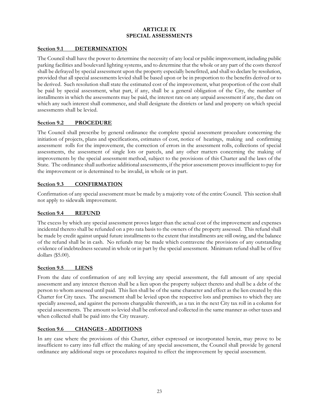#### **ARTICLE IX SPECIAL ASSESSMENTS**

#### **Section 9.1 DETERMINATION**

The Council shall have the power to determine the necessity of any local or public improvement, including public parking facilities and boulevard lighting systems, and to determine that the whole or any part of the costs thereof shall be defrayed by special assessment upon the property especially benefitted, and shall so declare by resolution, provided that all special assessments levied shall be based upon or be in proportion to the benefits derived or to be derived. Such resolution shall state the estimated cost of the improvement, what proportion of the cost shall be paid by special assessment, what part, if any, shall be a general obligation of the City, the number of installments in which the assessments may be paid, the interest rate on any unpaid assessment if any, the date on which any such interest shall commence, and shall designate the districts or land and property on which special assessments shall be levied.

#### **Section 9.2 PROCEDURE**

The Council shall prescribe by general ordinance the complete special assessment procedure concerning the initiation of projects, plans and specifications, estimates of cost, notice of hearings, making and confirming assessment rolls for the improvement, the correction of errors in the assessment rolls, collections of special assessments, the assessment of single lots or parcels, and any other matters concerning the making of improvements by the special assessment method, subject to the provisions of this Charter and the laws of the State. The ordinance shall authorize additional assessments, if the prior assessment proves insufficient to pay for the improvement or is determined to be invalid, in whole or in part.

#### **Section 9.3 CONFIRMATION**

Confirmation of any special assessment must be made by a majority vote of the entire Council. This section shall not apply to sidewalk improvement.

#### **Section 9.4 REFUND**

The excess by which any special assessment proves larger than the actual cost of the improvement and expenses incidental thereto shall be refunded on a pro rata basis to the owners of the property assessed. This refund shall be made by credit against unpaid future installments to the extent that installments are still owing, and the balance of the refund shall be in cash. No refunds may be made which contravene the provisions of any outstanding evidence of indebtedness secured in whole or in part by the special assessment. Minimum refund shall be of five dollars (\$5.00).

#### **Section 9.5 LIENS**

From the date of confirmation of any roll levying any special assessment, the full amount of any special assessment and any interest thereon shall be a lien upon the property subject thereto and shall be a debt of the person to whom assessed until paid. This lien shall be of the same character and effect as the lien created by this Charter for City taxes. The assessment shall be levied upon the respective lots and premises to which they are specially assessed, and against the persons chargeable therewith, as a tax in the next City tax roll in a column for special assessments. The amount so levied shall be enforced and collected in the same manner as other taxes and when collected shall be paid into the City treasury.

#### **Section 9.6 CHANGES - ADDITIONS**

In any case where the provisions of this Charter, either expressed or incorporated herein, may prove to be insufficient to carry into full effect the making of any special assessment, the Council shall provide by general ordinance any additional steps or procedures required to effect the improvement by special assessment.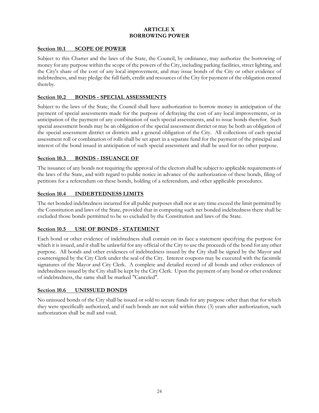#### **ARTICLE X BORROWING POWER**

#### **Section 10.1 SCOPE OF POWER**

Subject to this Charter and the laws of the State, the Council, by ordinance, may authorize the borrowing of money for any purpose within the scope of the powers of the City, including parking facilities, street lighting, and the City's share of the cost of any local improvement, and may issue bonds of the City or other evidence of indebtedness, and may pledge the full faith, credit and resources of the City for payment of the obligation created thereby.

#### **Section 10.2 BONDS - SPECIAL ASSESSMENTS**

Subject to the laws of the State, the Council shall have authorization to borrow money in anticipation of the payment of special assessments made for the purpose of defraying the cost of any local improvements, or in anticipation of the payment of any combination of such special assessments, and to issue bonds therefor. Such special assessment bonds may be an obligation of the special assessment district or may be both an obligation of the special assessment district or districts and a general obligation of the City. All collections of each special assessment roll or combination of rolls shall be set apart in a separate fund for the payment of the principal and interest of the bond issued in anticipation of such special assessment and shall be used for no other purpose.

#### **Section 10.3 BONDS - ISSUANCE OF**

The issuance of any bonds not requiring the approval of the electors shall be subject to applicable requirements of the laws of the State, and with regard to public notice in advance of the authorization of these bonds, filing of petitions for a referendum on these bonds, holding of a referendum, and other applicable procedures.

#### **Section 10.4 INDEBTEDNESS LIMITS**

The net bonded indebtedness incurred for all public purposes shall not at any time exceed the limit permitted by the Constitution and laws of the State, provided that in computing such net bonded indebtedness there shall be excluded those bonds permitted to be so excluded by the Constitution and laws of the State.

#### **Section 10.5 USE OF BONDS - STATEMENT**

Each bond or other evidence of indebtedness shall contain on its face a statement specifying the purpose for which it is issued, and it shall be unlawful for any official of the City to use the proceeds of the bond for any other purpose. All bonds and other evidences of indebtedness issued by the City shall be signed by the Mayor and countersigned by the City Clerk under the seal of the City. Interest coupons may be executed with the facsimile signatures of the Mayor and City Clerk. A complete and detailed record of all bonds and other evidences of indebtedness issued by the City shall be kept by the City Clerk. Upon the payment of any bond or other evidence of indebtedness, the same shall be marked "Canceled".

#### **Section 10.6 UNISSUED BONDS**

No unissued bonds of the City shall be issued or sold to secure funds for any purpose other than that for which they were specifically authorized, and if such bonds are not sold within three (3) years after authorization, such authorization shall be null and void.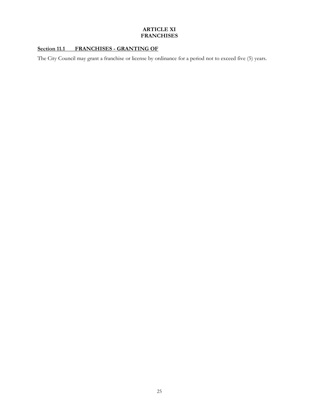#### **ARTICLE XI FRANCHISES**

## **Section 11.1 FRANCHISES - GRANTING OF**

The City Council may grant a franchise or license by ordinance for a period not to exceed five (5) years.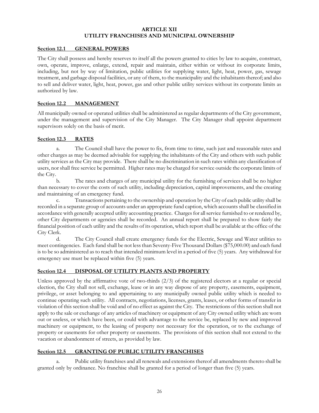#### **ARTICLE XII UTILITY FRANCHISES AND MUNICIPAL OWNERSHIP**

#### **Section 12.1 GENERAL POWERS**

The City shall possess and hereby reserves to itself all the powers granted to cities by law to acquire, construct, own, operate, improve, enlarge, extend, repair and maintain, either within or without its corporate limits, including, but not by way of limitation, public utilities for supplying water, light, heat, power, gas, sewage treatment, and garbage disposal facilities, or any of them, to the municipality and the inhabitants thereof; and also to sell and deliver water, light, heat, power, gas and other public utility services without its corporate limits as authorized by law.

#### **Section 12.2 MANAGEMENT**

All municipally owned or operated utilities shall be administered as regular departments of the City government, under the management and supervision of the City Manager. The City Manager shall appoint department supervisors solely on the basis of merit.

#### **Section 12.3 RATES**

a. The Council shall have the power to fix, from time to time, such just and reasonable rates and other charges as may be deemed advisable for supplying the inhabitants of the City and others with such public utility services as the City may provide. There shall be no discrimination in such rates within any classification of users, nor shall free service be permitted. Higher rates may be charged for service outside the corporate limits of the City.

b. The rates and charges of any municipal utility for the furnishing of services shall be no higher than necessary to cover the costs of such utility, including depreciation, capital improvements, and the creating and maintaining of an emergency fund.

c. Transactions pertaining to the ownership and operation by the City of each public utility shall be recorded in a separate group of accounts under an appropriate fund caption, which accounts shall be classified in accordance with generally accepted utility accounting practice. Charges for all service furnished to or rendered by, other City departments or agencies shall be recorded. An annual report shall be prepared to show fairly the financial position of each utility and the results of its operation, which report shall be available at the office of the City Clerk.

d. The City Council shall create emergency funds for the Electric, Sewage and Water utilities to meet contingencies. Each fund shall be not less than Seventy-Five Thousand Dollars (\$75,000.00) and each fund is to be so administered as to reach that intended minimum level in a period of five (5) years. Any withdrawal for emergency use must be replaced within five (5) years.

#### **Section 12.4 DISPOSAL OF UTILITY PLANTS AND PROPERTY**

Unless approved by the affirmative vote of two-thirds  $(2/3)$  of the registered electors at a regular or special election, the City shall not sell, exchange, lease or in any way dispose of any property, easements, equipment, privilege, or asset belonging to and appertaining to any municipally owned public utility which is needed to continue operating such utility. All contracts, negotiations, licenses, grants, leases, or other forms of transfer in violation of this section shall be void and of no effect as against the City. The restrictions of this section shall not apply to the sale or exchange of any articles of machinery or equipment of any City owned utility which are worn out or useless, or which have been, or could with advantage to the service be, replaced by new and improved machinery or equipment, to the leasing of property not necessary for the operation, or to the exchange of property or easements for other property or easements. The provisions of this section shall not extend to the vacation or abandonment of streets, as provided by law.

#### **Section 12.5 GRANTING OF PUBLIC UTILITY FRANCHISES**

a. Public utility franchises and all renewals and extensions thereof all amendments thereto shall be granted only by ordinance. No franchise shall be granted for a period of longer than five (5) years.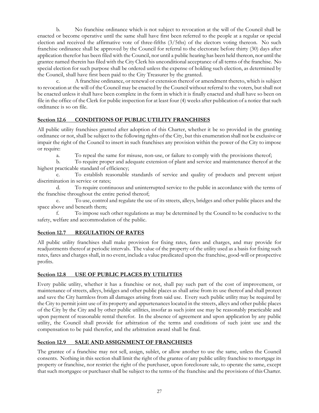b. No franchise ordinance which is not subject to revocation at the will of the Council shall be enacted or become operative until the same shall have first been referred to the people at a regular or special election and received the affirmative vote of three-fifths (3/5ths) of the electors voting thereon. No such franchise ordinance shall be approved by the Council for referral to the electorate before thirty (30) days after application therefor has been filed with the Council, nor until a public hearing has been held thereon, nor until the grantee named therein has filed with the City Clerk his unconditional acceptance of all terms of the franchise. No special election for such purpose shall be ordered unless the expense of holding such election, as determined by the Council, shall have first been paid to the City Treasurer by the granted.

A franchise ordinance, or renewal or extension thereof or amendment thereto, which is subject to revocation at the will of the Council may be enacted by the Council without referral to the voters, but shall not be enacted unless it shall have been complete in the form in which it is finally enacted and shall have so been on file in the office of the Clerk for public inspection for at least four (4) weeks after publication of a notice that such ordinance is so on file.

#### **Section 12.6 CONDITIONS OF PUBLIC UTILITY FRANCHISES**

All public utility franchises granted after adoption of this Charter, whether it be so provided in the granting ordinance or not, shall be subject to the following rights of the City, but this enumeration shall not be exclusive or impair the right of the Council to insert in such franchises any provision within the power of the City to impose or require:

a. To repeal the same for misuse, non-use, or failure to comply with the provisions thereof;

b. To require proper and adequate extension of plant and service and maintenance thereof at the highest practicable standard of efficiency;

c. To establish reasonable standards of service and quality of products and prevent unjust discrimination in service or rates;

d. To require continuous and uninterrupted service to the public in accordance with the terms of the franchise throughout the entire period thereof;

e. To use, control and regulate the use of its streets, alleys, bridges and other public places and the space above and beneath them;

f. To impose such other regulations as may be determined by the Council to be conducive to the safety, welfare and accommodation of the public.

#### **Section 12.7 REGULATION OF RATES**

All public utility franchises shall make provision for fixing rates, fares and charges, and may provide for readjustments thereof at periodic intervals. The value of the property of the utility used as a basis for fixing such rates, fares and charges shall, in no event, include a value predicated upon the franchise, good-will or prospective profits.

#### **Section 12.8 USE OF PUBLIC PLACES BY UTILITIES**

Every public utility, whether it has a franchise or not, shall pay such part of the cost of improvement, or maintenance of streets, alleys, bridges and other public places as shall arise from its use thereof and shall protect and save the City harmless from all damages arising from said use. Every such public utility may be required by the City to permit joint use of its property and appurtenances located in the streets, alleys and other public places of the City by the City and by other public utilities, insofar as such joint use may be reasonably practicable and upon payment of reasonable rental therefor. In the absence of agreement and upon application by any public utility, the Council shall provide for arbitration of the terms and conditions of such joint use and the compensation to be paid therefor, and the arbitration award shall be final.

#### **Section 12.9 SALE AND ASSIGNMENT OF FRANCHISES**

The grantee of a franchise may not sell, assign, sublet, or allow another to use the same, unless the Council consents. Nothing in this section shall limit the right of the grantee of any public utility franchise to mortgage its property or franchise, nor restrict the right of the purchaser, upon foreclosure sale, to operate the same, except that such mortgagee or purchaser shall be subject to the terms of the franchise and the provisions of this Charter.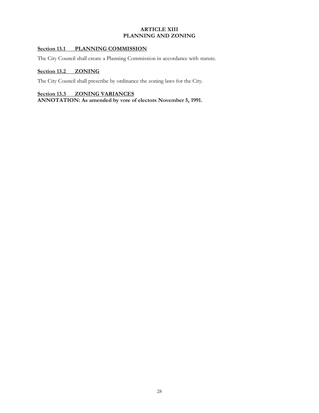#### **ARTICLE XIII PLANNING AND ZONING**

#### **Section 13.1 PLANNING COMMISSION**

The City Council shall create a Planning Commission in accordance with statute.

#### **Section 13.2 ZONING**

The City Council shall prescribe by ordinance the zoning laws for the City.

# **Section 13.3 ZONING VARIANCES**

**ANNOTATION: As amended by vote of electors November 5, 1991.**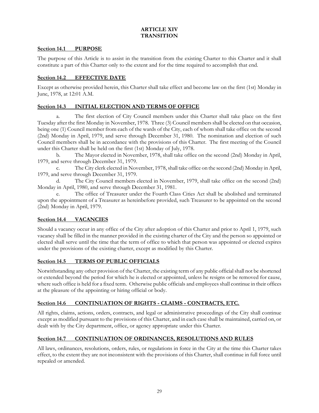#### **ARTICLE XIV TRANSITION**

#### **Section 14.1 PURPOSE**

The purpose of this Article is to assist in the transition from the existing Charter to this Charter and it shall constitute a part of this Charter only to the extent and for the time required to accomplish that end.

#### **Section 14.2 EFFECTIVE DATE**

Except as otherwise provided herein, this Charter shall take effect and become law on the first (1st) Monday in June, 1978, at 12:01 A.M.

#### **Section 14.3 INITIAL ELECTION AND TERMS OF OFFICE**

a. The first election of City Council members under this Charter shall take place on the first Tuesday after the first Monday in November, 1978. Three (3) Council members shall be elected on that occasion, being one (1) Council member from each of the wards of the City, each of whom shall take office on the second (2nd) Monday in April, 1979, and serve through December 31, 1980. The nomination and election of such Council members shall be in accordance with the provisions of this Charter. The first meeting of the Council under this Charter shall be held on the first (1st) Monday of July, 1978.

b. The Mayor elected in November, 1978, shall take office on the second (2nd) Monday in April, 1979, and serve through December 31, 1979.

c. The City clerk elected in November, 1978, shall take office on the second (2nd) Monday in April, 1979, and serve through December 31, 1979.

d. The City Council members elected in November, 1979, shall take office on the second (2nd) Monday in April, 1980, and serve through December 31, 1981.

The office of Treasurer under the Fourth Class Cities Act shall be abolished and terminated upon the appointment of a Treasurer as hereinbefore provided, such Treasurer to be appointed on the second (2nd) Monday in April, 1979.

#### **Section 14.4 VACANCIES**

Should a vacancy occur in any office of the City after adoption of this Charter and prior to April 1, 1979, such vacancy shall be filled in the manner provided in the existing charter of the City and the person so appointed or elected shall serve until the time that the term of office to which that person was appointed or elected expires under the provisions of the existing charter, except as modified by this Charter.

#### **Section 14.5 TERMS OF PUBLIC OFFICIALS**

Notwithstanding any other provision of the Charter, the existing term of any public official shall not be shortened or extended beyond the period for which he is elected or appointed, unless he resigns or be removed for cause, where such office is held for a fixed term. Otherwise public officials and employees shall continue in their offices at the pleasure of the appointing or hiring official or body.

#### **Section 14.6 CONTINUATION OF RIGHTS - CLAIMS - CONTRACTS, ETC.**

All rights, claims, actions, orders, contracts, and legal or administrative proceedings of the City shall continue except as modified pursuant to the provisions of this Charter, and in each case shall be maintained, carried on, or dealt with by the City department, office, or agency appropriate under this Charter.

#### **Section 14.7 CONTINUATION OF ORDINANCES, RESOLUTIONS AND RULES**

All laws, ordinances, resolutions, orders, rules, or regulations in force in the City at the time this Charter takes effect, to the extent they are not inconsistent with the provisions of this Charter, shall continue in full force until repealed or amended.